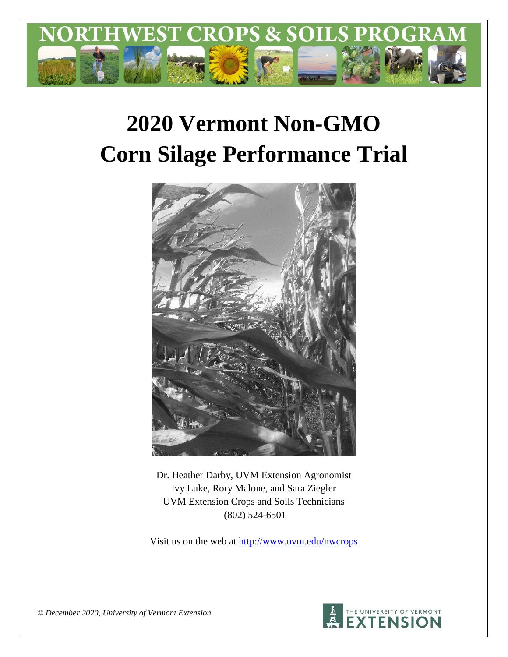

# **2020 Vermont Non-GMO Corn Silage Performance Trial**



Dr. Heather Darby, UVM Extension Agronomist Ivy Luke, Rory Malone, and Sara Ziegler UVM Extension Crops and Soils Technicians (802) 524-6501

Visit us on the web at <http://www.uvm.edu/nwcrops>



*© December 2020, University of Vermont Extension*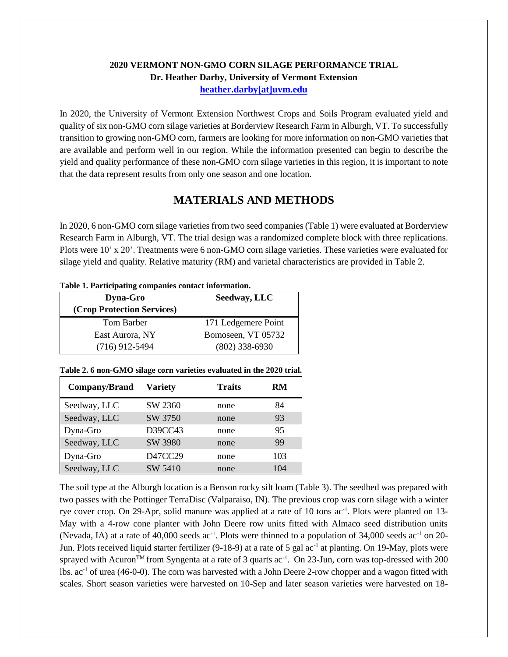## **2020 VERMONT NON-GMO CORN SILAGE PERFORMANCE TRIAL Dr. Heather Darby, University of Vermont Extension [heather.darby\[at\]uvm.edu](mailto:heather.darby@uvm.edu?subject=2013%20Long%20Season%20Corn%20Report)**

In 2020, the University of Vermont Extension Northwest Crops and Soils Program evaluated yield and quality of six non-GMO corn silage varieties at Borderview Research Farm in Alburgh, VT. To successfully transition to growing non-GMO corn, farmers are looking for more information on non-GMO varieties that are available and perform well in our region. While the information presented can begin to describe the yield and quality performance of these non-GMO corn silage varieties in this region, it is important to note that the data represent results from only one season and one location.

# **MATERIALS AND METHODS**

In 2020, 6 non-GMO corn silage varietiesfrom two seed companies (Table 1) were evaluated at Borderview Research Farm in Alburgh, VT. The trial design was a randomized complete block with three replications. Plots were 10' x 20'. Treatments were 6 non-GMO corn silage varieties. These varieties were evaluated for silage yield and quality. Relative maturity (RM) and varietal characteristics are provided in Table 2.

| Tuble 1, 1 in acrputing computing contact mior mution. |                     |  |  |  |  |  |  |  |
|--------------------------------------------------------|---------------------|--|--|--|--|--|--|--|
| <b>Dyna-Gro</b>                                        | Seedway, LLC        |  |  |  |  |  |  |  |
| (Crop Protection Services)                             |                     |  |  |  |  |  |  |  |
| Tom Barber                                             | 171 Ledgemere Point |  |  |  |  |  |  |  |
| East Aurora, NY                                        | Bomoseen, VT 05732  |  |  |  |  |  |  |  |
| $(716)$ 912-5494                                       | $(802)$ 338-6930    |  |  |  |  |  |  |  |

#### **Table 1. Participating companies contact information.**

#### **Table 2. 6 non-GMO silage corn varieties evaluated in the 2020 trial.**

| Company/Brand | <b>Variety</b> | <b>Traits</b> | RM  |
|---------------|----------------|---------------|-----|
| Seedway, LLC  | SW 2360        | none          | 84  |
| Seedway, LLC  | SW 3750        | none          | 93  |
| Dyna-Gro      | D39CC43        | none          | 95  |
| Seedway, LLC  | SW 3980        | none          | 99  |
| Dyna-Gro      | D47CC29        | none          | 103 |
| Seedway, LLC  | SW 5410        | none          | 104 |

The soil type at the Alburgh location is a Benson rocky silt loam (Table 3). The seedbed was prepared with two passes with the Pottinger TerraDisc (Valparaiso, IN). The previous crop was corn silage with a winter rye cover crop. On 29-Apr, solid manure was applied at a rate of 10 tons ac<sup>-1</sup>. Plots were planted on 13-May with a 4-row cone planter with John Deere row units fitted with Almaco seed distribution units (Nevada, IA) at a rate of 40,000 seeds ac<sup>-1</sup>. Plots were thinned to a population of 34,000 seeds ac<sup>-1</sup> on 20-Jun. Plots received liquid starter fertilizer (9-18-9) at a rate of 5 gal ac<sup>-1</sup> at planting. On 19-May, plots were sprayed with Acuron<sup>TM</sup> from Syngenta at a rate of 3 quarts ac<sup>-1</sup>. On 23-Jun, corn was top-dressed with 200 lbs. ac-1 of urea (46-0-0). The corn was harvested with a John Deere 2-row chopper and a wagon fitted with scales. Short season varieties were harvested on 10-Sep and later season varieties were harvested on 18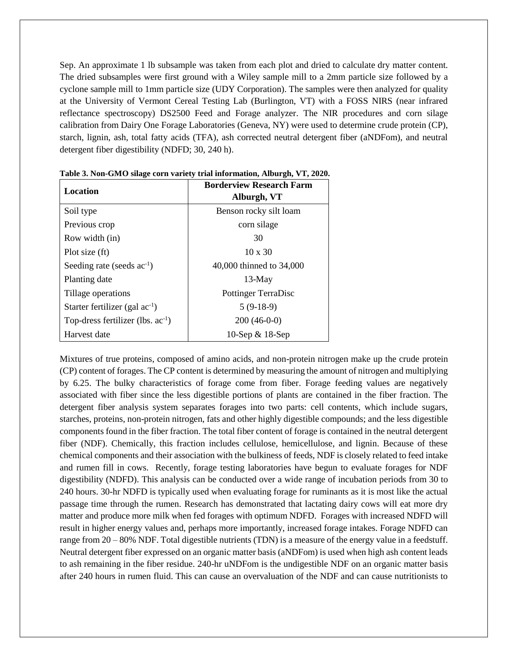Sep. An approximate 1 lb subsample was taken from each plot and dried to calculate dry matter content. The dried subsamples were first ground with a Wiley sample mill to a 2mm particle size followed by a cyclone sample mill to 1mm particle size (UDY Corporation). The samples were then analyzed for quality at the University of Vermont Cereal Testing Lab (Burlington, VT) with a FOSS NIRS (near infrared reflectance spectroscopy) DS2500 Feed and Forage analyzer. The NIR procedures and corn silage calibration from Dairy One Forage Laboratories (Geneva, NY) were used to determine crude protein (CP), starch, lignin, ash, total fatty acids (TFA), ash corrected neutral detergent fiber (aNDFom), and neutral detergent fiber digestibility (NDFD; 30, 240 h).

| <b>Location</b>                        | <b>Borderview Research Farm</b><br>Alburgh, VT |  |  |  |  |  |
|----------------------------------------|------------------------------------------------|--|--|--|--|--|
| Soil type                              | Benson rocky silt loam                         |  |  |  |  |  |
| Previous crop                          | corn silage                                    |  |  |  |  |  |
| Row width (in)                         | 30                                             |  |  |  |  |  |
| Plot size (ft)                         | $10 \times 30$                                 |  |  |  |  |  |
| Seeding rate (seeds ac <sup>-1</sup> ) | 40,000 thinned to 34,000                       |  |  |  |  |  |
| Planting date                          | $13-May$                                       |  |  |  |  |  |
| Tillage operations                     | Pottinger TerraDisc                            |  |  |  |  |  |
| Starter fertilizer (gal $ac^{-1}$ )    | $5(9-18-9)$                                    |  |  |  |  |  |
| Top-dress fertilizer (lbs. $ac^{-1}$ ) | $200(46-0-0)$                                  |  |  |  |  |  |
| Harvest date                           | 10-Sep $\&$ 18-Sep                             |  |  |  |  |  |

**Table 3. Non-GMO silage corn variety trial information, Alburgh, VT, 2020.**

Mixtures of true proteins, composed of amino acids, and non-protein nitrogen make up the crude protein (CP) content of forages. The CP content is determined by measuring the amount of nitrogen and multiplying by 6.25. The bulky characteristics of forage come from fiber. Forage feeding values are negatively associated with fiber since the less digestible portions of plants are contained in the fiber fraction. The detergent fiber analysis system separates forages into two parts: cell contents, which include sugars, starches, proteins, non-protein nitrogen, fats and other highly digestible compounds; and the less digestible components found in the fiber fraction. The total fiber content of forage is contained in the neutral detergent fiber (NDF). Chemically, this fraction includes cellulose, hemicellulose, and lignin. Because of these chemical components and their association with the bulkiness of feeds, NDF is closely related to feed intake and rumen fill in cows. Recently, forage testing laboratories have begun to evaluate forages for NDF digestibility (NDFD). This analysis can be conducted over a wide range of incubation periods from 30 to 240 hours. 30-hr NDFD is typically used when evaluating forage for ruminants as it is most like the actual passage time through the rumen. Research has demonstrated that lactating dairy cows will eat more dry matter and produce more milk when fed forages with optimum NDFD. Forages with increased NDFD will result in higher energy values and, perhaps more importantly, increased forage intakes. Forage NDFD can range from 20 – 80% NDF. Total digestible nutrients (TDN) is a measure of the energy value in a feedstuff. Neutral detergent fiber expressed on an organic matter basis (aNDFom) is used when high ash content leads to ash remaining in the fiber residue. 240-hr uNDFom is the undigestible NDF on an organic matter basis after 240 hours in rumen fluid. This can cause an overvaluation of the NDF and can cause nutritionists to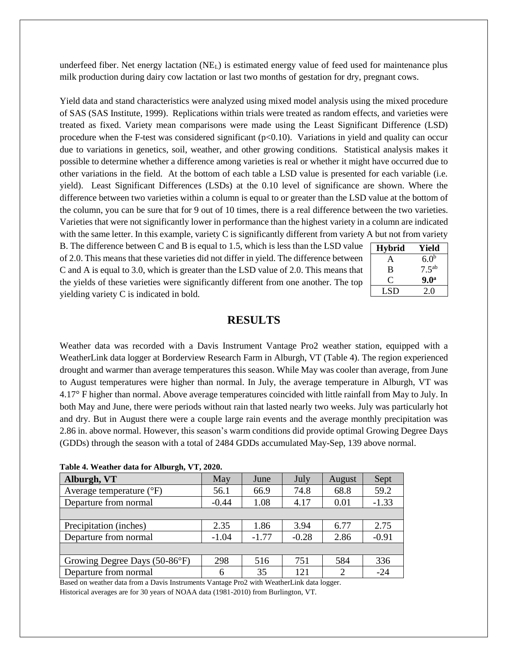underfeed fiber. Net energy lactation  $(NE<sub>L</sub>)$  is estimated energy value of feed used for maintenance plus milk production during dairy cow lactation or last two months of gestation for dry, pregnant cows.

Yield data and stand characteristics were analyzed using mixed model analysis using the mixed procedure of SAS (SAS Institute, 1999). Replications within trials were treated as random effects, and varieties were treated as fixed. Variety mean comparisons were made using the Least Significant Difference (LSD) procedure when the F-test was considered significant  $(p<0.10)$ . Variations in yield and quality can occur due to variations in genetics, soil, weather, and other growing conditions. Statistical analysis makes it possible to determine whether a difference among varieties is real or whether it might have occurred due to other variations in the field. At the bottom of each table a LSD value is presented for each variable (i.e. yield). Least Significant Differences (LSDs) at the 0.10 level of significance are shown. Where the difference between two varieties within a column is equal to or greater than the LSD value at the bottom of the column, you can be sure that for 9 out of 10 times, there is a real difference between the two varieties. Varieties that were not significantly lower in performance than the highest variety in a column are indicated with the same letter. In this example, variety C is significantly different from variety A but not from variety

B. The difference between C and B is equal to 1.5, which is less than the LSD value of 2.0. This means that these varieties did not differ in yield. The difference between C and A is equal to 3.0, which is greater than the LSD value of 2.0. This means that the yields of these varieties were significantly different from one another. The top yielding variety C is indicated in bold.

| <b>Hybrid</b> | Yield            |
|---------------|------------------|
| A             | 6.0 <sup>b</sup> |
| B             | $7.5^{ab}$       |
| O,            | 9.0 <sup>a</sup> |
| LSD           | 20               |

## **RESULTS**

Weather data was recorded with a Davis Instrument Vantage Pro2 weather station, equipped with a WeatherLink data logger at Borderview Research Farm in Alburgh, VT (Table 4). The region experienced drought and warmer than average temperatures this season. While May was cooler than average, from June to August temperatures were higher than normal. In July, the average temperature in Alburgh, VT was 4.17° F higher than normal. Above average temperatures coincided with little rainfall from May to July. In both May and June, there were periods without rain that lasted nearly two weeks. July was particularly hot and dry. But in August there were a couple large rain events and the average monthly precipitation was 2.86 in. above normal. However, this season's warm conditions did provide optimal Growing Degree Days (GDDs) through the season with a total of 2484 GDDs accumulated May-Sep, 139 above normal.

| Alburgh, VT                         | May     | June    | July    | August                      | Sept    |
|-------------------------------------|---------|---------|---------|-----------------------------|---------|
| Average temperature $({}^{\circ}F)$ | 56.1    | 66.9    | 74.8    | 68.8                        | 59.2    |
| Departure from normal               | $-0.44$ | 1.08    | 0.01    | $-1.33$                     |         |
|                                     |         |         |         |                             |         |
| Precipitation (inches)              | 2.35    | 1.86    | 3.94    | 6.77                        | 2.75    |
| Departure from normal               | $-1.04$ | $-1.77$ | $-0.28$ | 2.86                        | $-0.91$ |
|                                     |         |         |         |                             |         |
| Growing Degree Days (50-86°F)       | 298     | 516     | 751     | 584                         | 336     |
| Departure from normal               | 6       | 35      | 121     | $\mathcal{D}_{\mathcal{A}}$ | $-24$   |

|  | Table 4. Weather data for Alburgh, VT, 2020. |  |  |  |
|--|----------------------------------------------|--|--|--|
|--|----------------------------------------------|--|--|--|

Based on weather data from a Davis Instruments Vantage Pro2 with WeatherLink data logger. Historical averages are for 30 years of NOAA data (1981-2010) from Burlington, VT.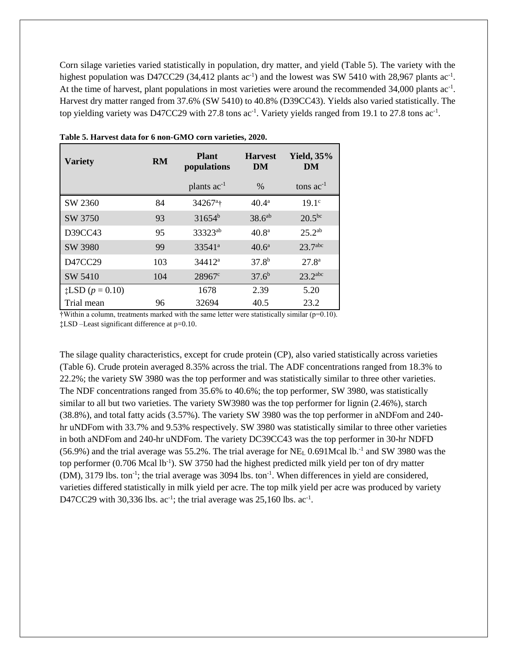Corn silage varieties varied statistically in population, dry matter, and yield (Table 5). The variety with the highest population was D47CC29 (34,412 plants  $ac^{-1}$ ) and the lowest was SW 5410 with 28,967 plants  $ac^{-1}$ . At the time of harvest, plant populations in most varieties were around the recommended 34,000 plants ac<sup>-1</sup>. Harvest dry matter ranged from 37.6% (SW 5410) to 40.8% (D39CC43). Yields also varied statistically. The top yielding variety was D47CC29 with 27.8 tons ac<sup>-1</sup>. Variety yields ranged from 19.1 to 27.8 tons ac<sup>-1</sup>.

| <b>Variety</b>              | <b>RM</b> | <b>Plant</b><br>populations | <b>Harvest</b><br>DM | <b>Yield, 35%</b><br>DM |  |
|-----------------------------|-----------|-----------------------------|----------------------|-------------------------|--|
|                             |           | plants ac <sup>-1</sup>     | $\%$                 | tons $ac^{-1}$          |  |
| SW 2360                     | 84        | $34267^{\circ}$ †           | $40.4^{\rm a}$       | 19.1 <sup>c</sup>       |  |
| SW 3750                     | 93        | $31654^b$                   | 38.6 <sup>ab</sup>   | $20.5^{bc}$             |  |
| D39CC43                     | 95        | 33323ab                     | $40.8^{\circ}$       | $25.2^{ab}$             |  |
| SW 3980                     | 99        | $33541^a$                   | $40.6^{\circ}$       | 23.7 <sup>abc</sup>     |  |
| D47CC29                     | 103       | $34412^a$                   | $37.8^{b}$           | 27.8 <sup>a</sup>       |  |
| SW 5410                     | 104       | $28967^{\circ}$             | $37.6^{b}$           | $23.2$ <sup>abc</sup>   |  |
| $\sharp$ LSD ( $p = 0.10$ ) |           | 1678                        | 2.39                 | 5.20                    |  |
| Trial mean                  | 96        | 32694                       | 40.5                 | 23.2                    |  |

**Table 5. Harvest data for 6 non-GMO corn varieties, 2020.**

 $\dagger$ Within a column, treatments marked with the same letter were statistically similar ( $p=0.10$ ).

‡LSD –Least significant difference at p=0.10.

The silage quality characteristics, except for crude protein (CP), also varied statistically across varieties (Table 6). Crude protein averaged 8.35% across the trial. The ADF concentrations ranged from 18.3% to 22.2%; the variety SW 3980 was the top performer and was statistically similar to three other varieties. The NDF concentrations ranged from 35.6% to 40.6%; the top performer, SW 3980, was statistically similar to all but two varieties. The variety SW3980 was the top performer for lignin (2.46%), starch (38.8%), and total fatty acids (3.57%). The variety SW 3980 was the top performer in aNDFom and 240 hr uNDFom with 33.7% and 9.53% respectively. SW 3980 was statistically similar to three other varieties in both aNDFom and 240-hr uNDFom. The variety DC39CC43 was the top performer in 30-hr NDFD  $(56.9%)$  and the trial average was 55.2%. The trial average for NE<sub>L</sub> 0.691Mcal lb.<sup>-1</sup> and SW 3980 was the top performer (0.706 Mcal lb<sup>-1</sup>). SW 3750 had the highest predicted milk yield per ton of dry matter (DM), 3179 lbs. ton<sup>-1</sup>; the trial average was 3094 lbs. ton<sup>-1</sup>. When differences in yield are considered, varieties differed statistically in milk yield per acre. The top milk yield per acre was produced by variety D47CC29 with 30,336 lbs.  $ac^{-1}$ ; the trial average was 25,160 lbs.  $ac^{-1}$ .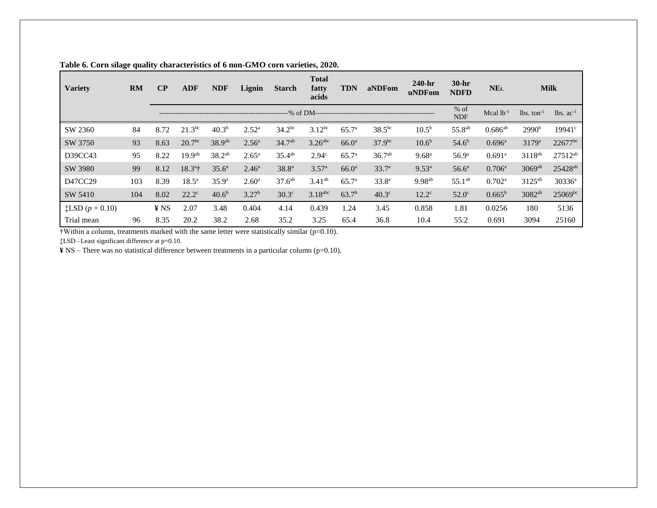| <b>Variety</b>           | <b>RM</b> | $\bf CP$ | <b>ADF</b>         | <b>NDF</b>         | Lignin            | <b>Starch</b>      | <b>Total</b><br>fatty<br>acids | <b>TDN</b>        | aNDFom            | $240-hr$<br>uNDFom | $30-hr$<br><b>NDFD</b> | NE <sub>L</sub>      |                          | <b>Milk</b>                     |
|--------------------------|-----------|----------|--------------------|--------------------|-------------------|--------------------|--------------------------------|-------------------|-------------------|--------------------|------------------------|----------------------|--------------------------|---------------------------------|
|                          |           |          |                    |                    |                   |                    | $-$ % of DM----                |                   |                   |                    | $%$ of<br><b>NDF</b>   | Mcal $lb^{-1}$       | $lbs.$ ton <sup>-1</sup> | $\lambda$ lbs. ac <sup>-1</sup> |
| SW 2360                  | 84        | 8.72     | $21.3^{bc}$        | 40.3 <sup>b</sup>  | $2.52^{\rm a}$    | $34.2^{bc}$        | $3.12^{bc}$                    | 65.7 <sup>a</sup> | $38.5^{bc}$       | $10.5^{\rm b}$     | 55.8 <sup>ab</sup>     | $0.686^{ab}$         | 2990 <sup>b</sup>        | $19941^{\circ}$                 |
| SW 3750                  | 93        | 8.63     | 20.7 <sup>bc</sup> | 38.9 <sup>ab</sup> | $2.56^{\circ}$    | $34.7^{ab}$        | $3.26$ <sup>abc</sup>          | $66.0^{\rm a}$    | $37.9^{bc}$       | $10.6^{b}$         | $54.6^{b}$             | $0.696^{\rm a}$      | $3179^{\rm a}$           | $22677^{bc}$                    |
| D39CC43                  | 95        | 8.22     | 19.9 <sup>ab</sup> | $38.2^{ab}$        | $2.65^{\rm a}$    | $35.4^{ab}$        | 2.94 <sup>c</sup>              | 65.7 <sup>a</sup> | $36.7^{ab}$       | 9.68 <sup>a</sup>  | 56.9 <sup>a</sup>      | $0.691$ <sup>a</sup> | 3118 <sup>ab</sup>       | $27512^{ab}$                    |
| SW 3980                  | 99        | 8.12     | $18.3^{\circ}$ †   | $35.6^{\circ}$     | $2.46^{\circ}$    | $38.8^{a}$         | 3.57 <sup>a</sup>              | $66.0^{\rm a}$    | 33.7 <sup>a</sup> | $9.53^{a}$         | 56.6 <sup>a</sup>      | $0.706^{\rm a}$      | $3069$ <sup>ab</sup>     | $25428^{ab}$                    |
| D47CC29                  | 103       | 8.39     | $18.5^{\circ}$     | 35.9 <sup>a</sup>  | $2.60^{\rm a}$    | 37.6 <sup>ab</sup> | $3.41^{ab}$                    | 65.7 <sup>a</sup> | $33.8^{a}$        | $9.98^{ab}$        | $55.1^{ab}$            | $0.702^{\rm a}$      | 3125 <sup>ab</sup>       | $30336^a$                       |
| SW 5410                  | 104       | 8.02     | $22.2^{\circ}$     | 40.6 <sup>b</sup>  | 3.27 <sup>b</sup> | 30.3 <sup>c</sup>  | $3.18$ <sub>abc</sub>          | 63.7 <sup>b</sup> | 40.3 <sup>c</sup> | $12.2^{\circ}$     | $52.0^\circ$           | $0.665^{\rm b}$      | 3082 <sup>ab</sup>       | $25069^{bc}$                    |
| <b>‡LSD</b> $(p = 0.10)$ |           | ¥ NS     | 2.07               | 3.48               | 0.404             | 4.14               | 0.439                          | 1.24              | 3.45              | 0.858              | 1.81                   | 0.0256               | 180                      | 5136                            |
| Trial mean               | 96        | 8.35     | 20.2               | 38.2               | 2.68              | 35.2               | 3.25                           | 65.4              | 36.8              | 10.4               | 55.2                   | 0.691                | 3094                     | 25160                           |

**Table 6. Corn silage quality characteristics of 6 non-GMO corn varieties, 2020.**

†Within a column, treatments marked with the same letter were statistically similar (p=0.10).

‡LSD –Least significant difference at p=0.10.

**¥** NS – There was no statistical difference between treatments in a particular column (p=0.10).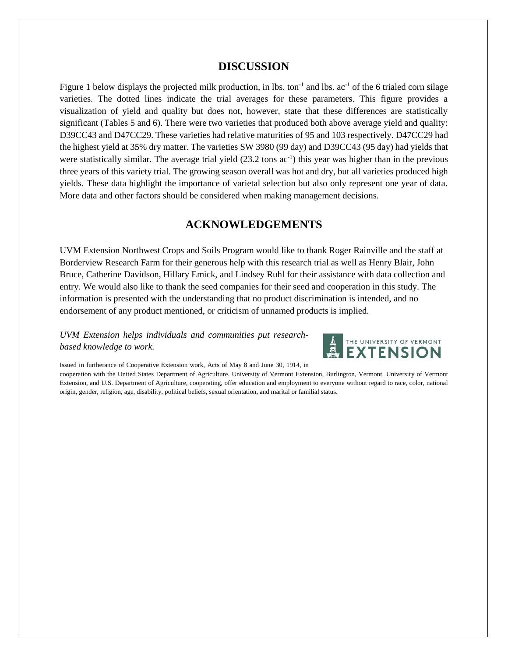## **DISCUSSION**

Figure 1 below displays the projected milk production, in lbs. ton<sup>-1</sup> and lbs.  $ac^{-1}$  of the 6 trialed corn silage varieties. The dotted lines indicate the trial averages for these parameters. This figure provides a visualization of yield and quality but does not, however, state that these differences are statistically significant (Tables 5 and 6). There were two varieties that produced both above average yield and quality: D39CC43 and D47CC29. These varieties had relative maturities of 95 and 103 respectively. D47CC29 had the highest yield at 35% dry matter. The varieties SW 3980 (99 day) and D39CC43 (95 day) had yields that were statistically similar. The average trial yield  $(23.2 \text{ tons } ac^{-1})$  this year was higher than in the previous three years of this variety trial. The growing season overall was hot and dry, but all varieties produced high yields. These data highlight the importance of varietal selection but also only represent one year of data. More data and other factors should be considered when making management decisions.

# **ACKNOWLEDGEMENTS**

UVM Extension Northwest Crops and Soils Program would like to thank Roger Rainville and the staff at Borderview Research Farm for their generous help with this research trial as well as Henry Blair, John Bruce, Catherine Davidson, Hillary Emick, and Lindsey Ruhl for their assistance with data collection and entry. We would also like to thank the seed companies for their seed and cooperation in this study. The information is presented with the understanding that no product discrimination is intended, and no endorsement of any product mentioned, or criticism of unnamed products is implied.

### *UVM Extension helps individuals and communities put researchbased knowledge to work.*



Issued in furtherance of Cooperative Extension work, Acts of May 8 and June 30, 1914, in

cooperation with the United States Department of Agriculture. University of Vermont Extension, Burlington, Vermont. University of Vermont Extension, and U.S. Department of Agriculture, cooperating, offer education and employment to everyone without regard to race, color, national origin, gender, religion, age, disability, political beliefs, sexual orientation, and marital or familial status.